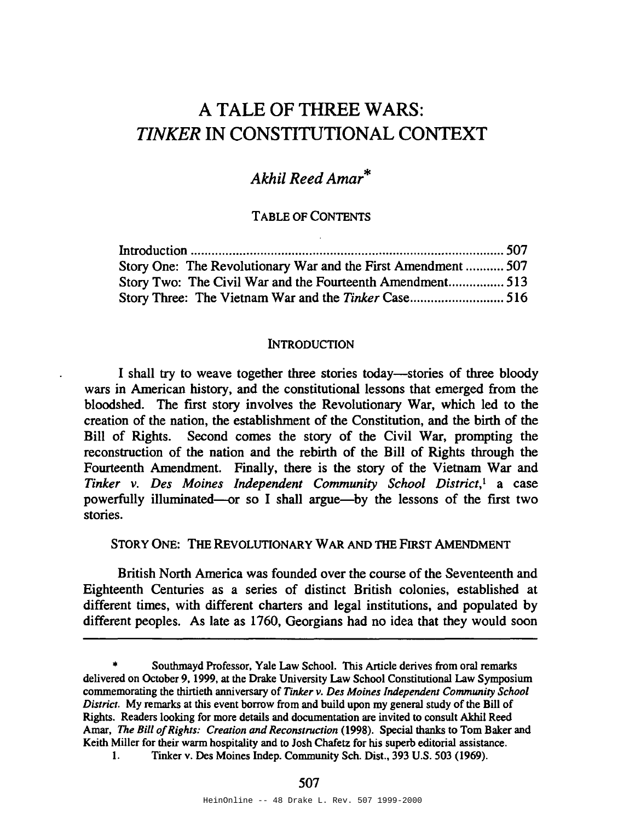# A TALE OF THREE WARS: *TINKER* **IN** CONSTITUTIONAL CONTEXT

# *Akhil Reed Amar*\*

### TABLE OF CONTENTS

| Story One: The Revolutionary War and the First Amendment  507 |  |
|---------------------------------------------------------------|--|
| Story Two: The Civil War and the Fourteenth Amendment 513     |  |
|                                                               |  |

#### **INTRODUCTION**

I shall try to weave together three stories today-stories of three bloody wars in American history, and the constitutional lessons that emerged from the bloodshed. The fIrst story involves the Revolutionary War, which led to the creation of the nation, the establishment of the Constitution, and the birth of the Bill of Rights. Second comes the story of the Civil War, prompting the reconstruction of the nation and the rebirth of the Bill of Rights through the Fourteenth Amendment. Finally, there is the story of the Vietnam War and *Tinker* v. *Des Moines Independent Community School District,*<sup>1</sup> a case powerfully illuminated-or so I shall argue-by the lessons of the first two stories.

STORY ONE: THE REVOLUTIONARY WAR AND THE FIRST AMENDMENT

British North America was founded over the course of the Seventeenth and Eighteenth Centuries as a series of distinct British colonies, established at different times, with different charters and legal institutions, and populated by different peoples. As late as 1760, Georgians had no idea that they would soon

1. Tinker v. Des Moines Indep. Community Sch. Dist., 393 U.S. 503 (1969).

Southmayd Professor, Yale Law School. This Article derives from oral remarks delivered on October 9,1999, at the Drake University Law School Constitutional Law Symposium commemorating the thirtieth anniversary of *Tinker v. Des Moines Independent Community School District.* My remarks at this event borrow from and build upon my general study ofthe Bill of Rights. Readers looking for more details and documentation are invited to consult Akhil Reed Amar, The Bill of Rights: Creation and Reconstruction (1998). Special thanks to Tom Baker and Keith Miller for their warm hospitality and to Josh Chafetz for his superb editorial assistance.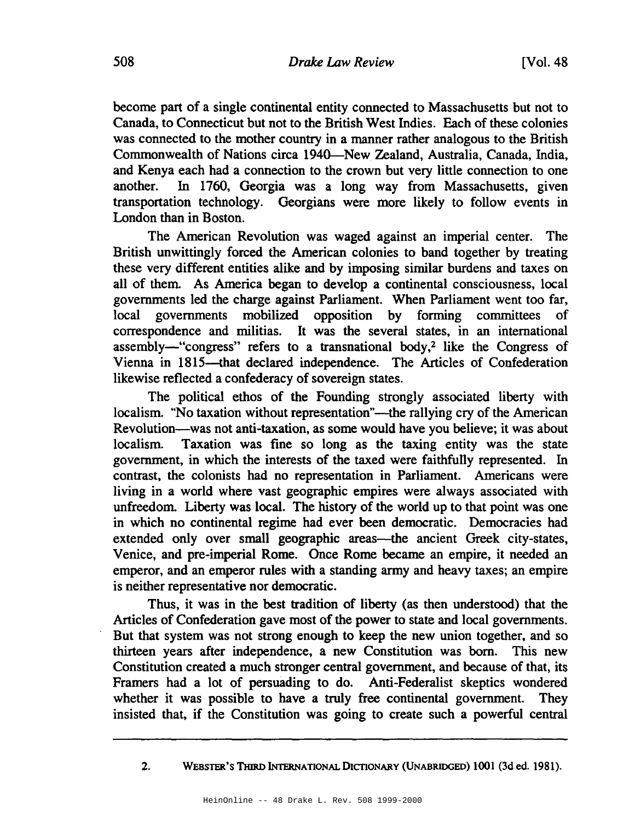become part of a single continental entity connected to Massachusetts but not to Canada, to Connecticut but not to the British West Indies. Each of these colonies was connected to the mother country in a manner rather analogous to the British Commonwealth of Nations circa 1940-New Zealand, Australia, Canada, India, and Kenya each had a connection to the crown but very little connection to one another. In 1760, Georgia was a long way from Massachusetts, given transportation technology. Georgians were more likely to follow events in London than in Boston.

The American Revolution was waged against an imperial center. The British unwittingly forced the American colonies to band together by treating these very different entities alike and by imposing similar burdens and taxes on all of them. As America began to develop a continental consciousness, local governments led the charge against Parliament. When Parliament went too far, local governments mobilized opposition by forming committees of correspondence and militias. It was the several states, in an international assembly-"congress" refers to a transnational body,<sup>2</sup> like the Congress of Vienna in 1815-that declared independence. The Articles of Confederation likewise reflected a confederacy of sovereign states.

The political ethos of the Founding strongly associated liberty with localism. "No taxation without representation"—the rallying cry of the American Revolution-was not anti-taxation, as some would have you believe; it was about localism. Taxation was fine so long as the taxing entity was the state government, in which the interests of the taxed were faithfully represented. In contrast, the colonists had no representation in Parliament. Americans were living in a world where vast geographic empires were always associated with unfreedom. Liberty was local. The history of the world up to that point was one in which no continental regime had ever been democratic. Democracies had extended only over small geographic areas—the ancient Greek city-states, Venice, and pre-imperial Rome. Once Rome became an empire, it needed an emperor, and an emperor rules with a standing army and heavy taxes; an empire is neither representative nor democratic.

Thus, it was in the best tradition of liberty (as then understood) that the Articles of Confederation gave most of the power to state and local governments. But that system was not strong enough to keep the new union together, and so thirteen years after independence, a new Constitution was born. This new Constitution created a much stronger central government, and because of that, its Framers had a lot of persuading to do. Anti-Federalist skeptics wondered whether it was possible to have a truly free continental government. They insisted that, if the Constitution was going to create such a powerful central

2. WEBSTER'S THIRD INTERNATIONAL DICTIONARY (UNABRIDGED) 1001 (3d ed. 1981).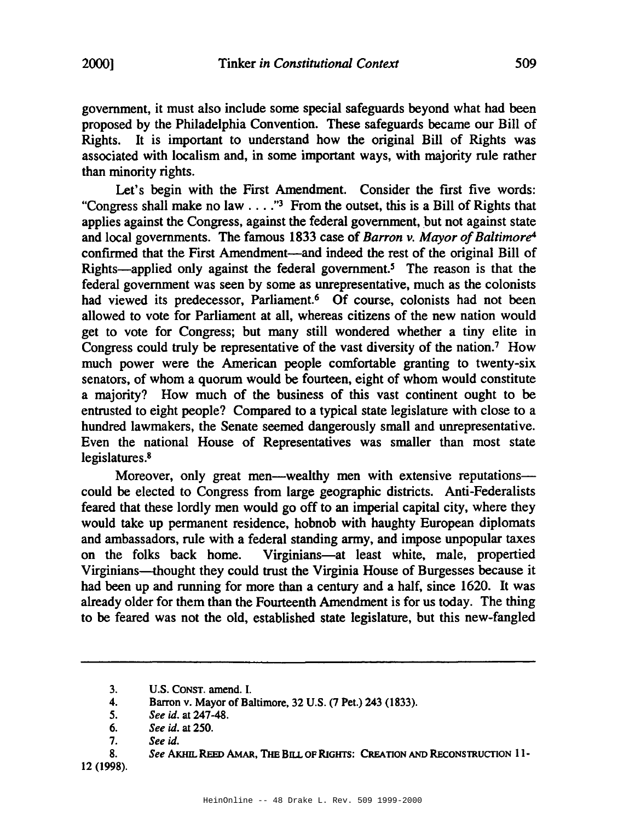government, it must also include some special safeguards beyond what had been proposed by the Philadelphia Convention. These safeguards became our Bill of Rights. It is important to understand how the original Bill of Rights was associated with localism and, in some important ways, with majority rule rather than minority rights.

Let's begin with the First Amendment. Consider the first five words: "Congress shall make no law . . . ."<sup>3</sup> From the outset, this is a Bill of Rights that applies against the Congress, against the federal government, but not against state and local governments. The famous 1833 case of *Barron v. Mayor of Baltimore*<sup>4</sup> confirmed that the First Amendment—and indeed the rest of the original Bill of Rights-applied only against the federal government.<sup>5</sup> The reason is that the federal government was seen by some as unrepresentative, much as the colonists had viewed its predecessor, Parliament.<sup>6</sup> Of course, colonists had not been allowed to vote for Parliament at all, whereas citizens of the new nation would get to vote for Congress; but many still wondered whether a tiny elite in Congress could truly be representative of the vast diversity of the nation.' How much power were the American people comfortable granting to twenty-six senators, of whom a quorum would be fourteen, eight of whom would constitute a majority? How much of the business of this vast continent ought to be entrusted to eight people? Compared to a typical state legislature with close to a hundred lawmakers, the Senate seemed dangerously small and unrepresentative. Even the national House of Representatives was smaller than most state legislatures.<sup>8</sup>

Moreover, only great men—wealthy men with extensive reputations could be elected to Congress from large geographic districts. Anti-Federalists feared that these lordly men would go off to an imperial capital city, where they would take up permanent residence, hobnob with haughty European diplomats and ambassadors, rule with a federal standing army, and impose unpopular taxes on the folks back home. Virginians-at least white, male, propertied Virginians-thought they could trust the Virginia House of Burgesses because it had been up and running for more than a century and a half, since 1620. It was already older for them than the Fourteenth Amendment is for us today. The thing to be feared was not the old, established state legislature, but this new-fangled

3. U.S. CONST. amend. I.

12 (1998).

<sup>4.</sup> Barron v. Mayor of Baltimore, 32 U.S. (7 Pet.) 243 (1833).

<sup>5.</sup> *See* id. at 247-48.

<sup>6.</sup> *See* id. at 250.

<sup>7.</sup> *See* id.

<sup>8.</sup> *See* AKHIL REED AMAR, THE BnL OF RIGHTS: CREATION AND REcONSTRUCTION 11-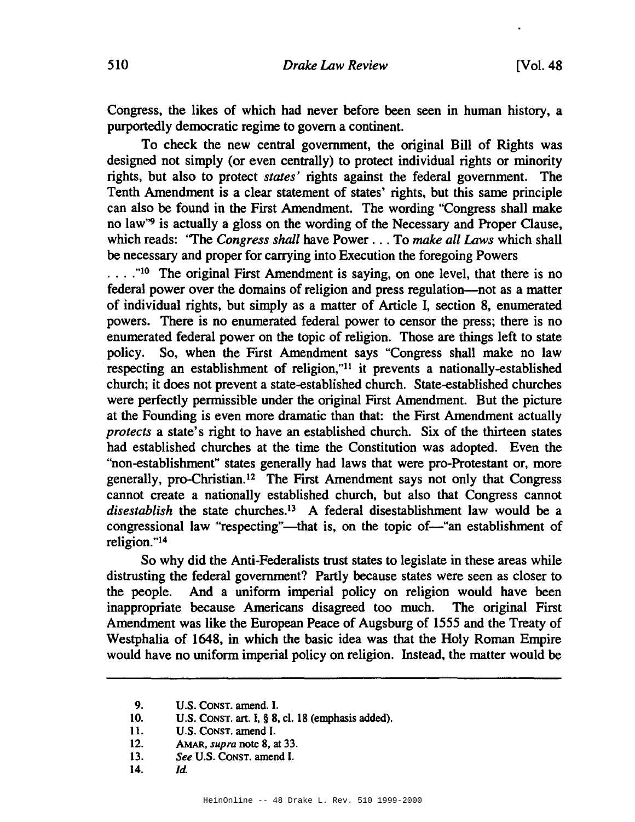Congress, the likes of which had never before been seen in human history, a purportedly democratic regime to govern a continent.

To check the new central government, the original Bill of Rights was designed not simply (or even centrally) to protect individual rights or minority rights, but also to protect *states'* rights against the federal government. The Tenth Amendment is a clear statement of states' rights, but this same principle can also be found in the First Amendment. The wording "Congress shall make no law''9 is actually a gloss on the wording of the Necessary and Proper Clause, which reads: "The *Congress shall* have Power ... To *make all Laws* which shall be necessary and proper for carrying into Execution the foregoing Powers

...."<sup>10</sup> The original First Amendment is saying, on one level, that there is no federal power over the domains of religion and press regulation-not as a matter of individual rights, but simply as a matter of Article I, section 8, enumerated powers. There is no enumerated federal power to censor the press; there is no enumerated federal power on the topic of religion. Those are things left to state policy. So, when the First Amendment says "Congress shall make no law respecting an establishment of religion,"ll it prevents a nationally-established church; it does not prevent a state-established church. State-established churches were perfectly permissible under the original First Amendment. But the picture at the Founding is even more dramatic than that: the First Amendment actually *protects* a state's right to have an established church. Six of the thirteen states had established churches at the time the Constitution was adopted. Even the "non-establishment" states generally had laws that were pro-Protestant or, more generally, pro-Christian. <sup>12</sup> The First Amendment says not only that Congress cannot create a nationally established church, but also that Congress cannot *disestablish* the state churches.13 A federal disestablishment law would be a congressional law "respecting"—that is, on the topic of—"an establishment of religion. "14

So why did the Anti-Federalists trust states to legislate in these areas while distrusting the federal government? Partly because states were seen as closer to the people. And a uniform imperial policy on religion would have been inappropriate because Americans disagreed too much. The original First Amendment was like the European Peace of Augsburg of 1555 and the Treaty of Westphalia of 1648, in which the basic idea was that the Holy Roman Empire would have no uniform imperial policy on religion. Instead, the matter would be

10. U.S. CONST. art. I, § 8, cl. 18 (emphasis added).

- 12. AMAR, *supra* note 8, at 33.
- *13. See* U.S. CONST. amend I.
- 14. *Id.*

<sup>9.</sup> U.S. CONST. amend. I.

<sup>11.</sup> U.S. CONST. amend I.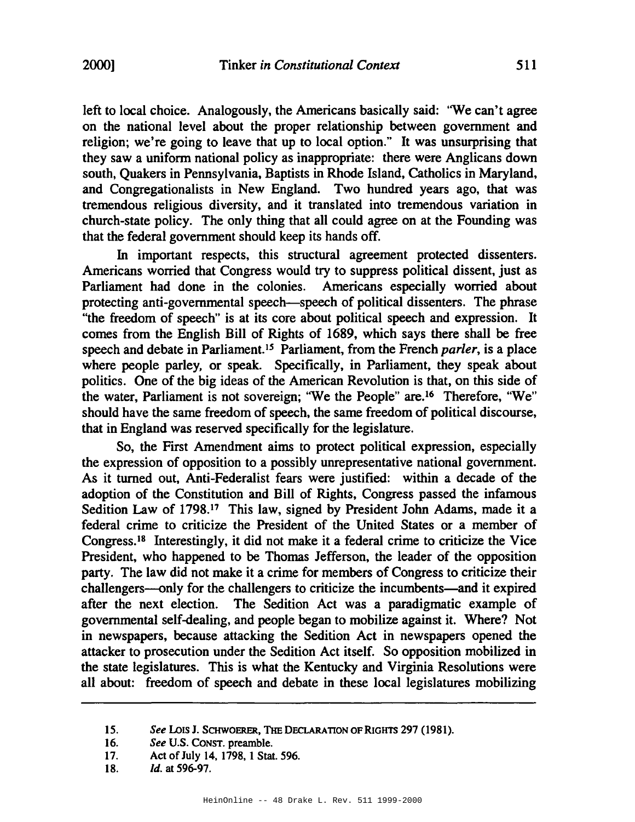left to local choice. Analogously, the Americans basically said: 'We can't agree on the national level about the proper relationship between government and religion; we're going to leave that up to local option." It was unsurprising that they saw a uniform national policy as inappropriate: there were Anglicans down south, Quakers in Pennsylvania, Baptists in Rhode Island, Catholics in Maryland, and Congregationalists in New England. Two hundred years ago, that was tremendous religious diversity, and it translated into tremendous variation in church-state policy. The only thing that all could agree on at the Founding was that the federal government should keep its hands off.

In important respects, this structural agreement protected dissenters. Americans worried that Congress would try to suppress political dissent, just as Parliament had done in the colonies. Americans especially worried about protecting anti-governmental speech-speech of political dissenters. The phrase "the freedom of speech" is at its core about political speech and expression. It comes from the English Bill of Rights of 1689, which says there shall be free speech and debate in Parliament.<sup>15</sup> Parliament, from the French *parler*, is a place where people parley, or speak. Specifically, in Parliament, they speak about politics. One of the big ideas of the American Revolution is that, on this side of the water, Parliament is not sovereign; "We the People" are.<sup>16</sup> Therefore, "We" should have the same freedom of speech, the same freedom of political discourse, that in England was reserved specifically for the legislature.

So, the First Amendment aims to protect political expression, especially the expression of opposition to a possibly unrepresentative national government. As it turned out, Anti-Federalist fears were justified: within a decade of the adoption of the Constitution and Bill of Rights, Congress passed the infamous Sedition Law of 1798.<sup>17</sup> This law, signed by President John Adams, made it a federal crime to criticize the President of the United States or a member of Congress.ls Interestingly, it did not make it a federal crime to criticize the Vice President, who happened to be Thomas Jefferson, the leader of the opposition party. The law did not make it a crime for members of Congress to criticize their challengers-only for the challengers to criticize the incumbents-and it expired after the next election. The Sedition Act was a paradigmatic example of governmental self-dealing, and people began to mobilize against it. Where? Not in newspapers, because attacking the Sedition Act in newspapers opened the attacker to prosecution under the Sedition Act itself. So opposition mobilized in the state legislatures. This is what the Kentucky and Virginia Resolutions were all about: freedom of speech and debate in these local legislatures mobilizing

*<sup>15.</sup> See* LOISJ. SCHWOERER, THE DECLARATION OFRIGHTS 297 (1981).

*<sup>16.</sup> See* U.S. CONST. preamble.

<sup>17.</sup> Act of July 14, 1798, 1 Stat. 596.

<sup>18.</sup> *Id.* at 596-97.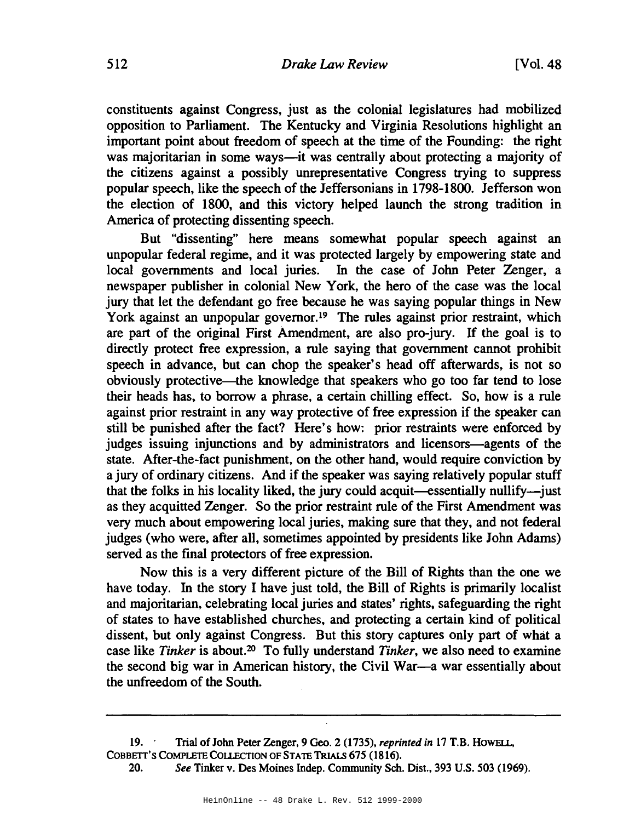constituents against Congress, just as the colonial legislatures had mobilized opposition to Parliament. The Kentucky and Virginia Resolutions highlight an important point about freedom of speech at the time of the Founding: the right was majoritarian in some ways—it was centrally about protecting a majority of the citizens against a possibly unrepresentative Congress trying to suppress popular speech, like the speech of the Jeffersonians in 1798-1800. Jefferson won the election of 1800, and this victory helped launch the strong tradition in America of protecting dissenting speech.

But "dissenting" here means somewhat popular speech against an unpopular federal regime, and it was protected largely by empowering state and local governments and local juries. In the case of John Peter Zenger, a newspaper publisher in colonial New York, the hero of the case was the local jury that let the defendant go free because he was saying popular things in New York against an unpopular governor.<sup>19</sup> The rules against prior restraint, which are part of the original First Amendment, are also pro-jury. If the goal is to directly protect free expression, a rule saying that government cannot prohibit speech in advance, but can chop the speaker's head off afterwards, is not so obviously protective-the knowledge that speakers who go too far tend to lose their heads has, to borrow a phrase, a certain chilling effect. So, how is a rule against prior restraint in any way protective of free expression if the speaker can still be punished after the fact? Here's how: prior restraints were enforced by judges issuing injunctions and by administrators and licensors—agents of the state. After-the-fact punishment, on the other hand, would require conviction by a jury of ordinary citizens. And if the speaker was saying relatively popular stuff that the folks in his locality liked, the jury could acquit—essentially nullify-just as they acquitted Zenger. So the prior restraint rule of the First Amendment was very much about empowering local juries, making sure that they, and not federal judges (who were, after all, sometimes appointed by presidents like John Adams) served as the final protectors of free expression.

Now this is a very different picture of the Bill of Rights than the one we have today. In the story I have just told, the Bill of Rights is primarily localist and majoritarian, celebrating local juries and states' rights, safeguarding the right of states to have established churches, and protecting a certain kind of political dissent, but only against Congress. But this story captures only part of what a case like *Tinker* is about.20 To fully understand *Tinker,* we also need to examine the second big war in American history, the Civil War-a war essentially about the unfreedom of the South.

<sup>19.&#</sup>x27; Trial ofJohn Peter Zenger, <sup>9</sup> Geo. <sup>2</sup> (1735), *reprinted in* <sup>17</sup> T.B. HoWElL, COBBETT'S COMPLETE COLLECTION OF STATE TRIALS 675 (1816).

*<sup>20.</sup> See* Tinker v. Des Moines Indep. Community Sch. Dist., 393 U.S. 503 (1969).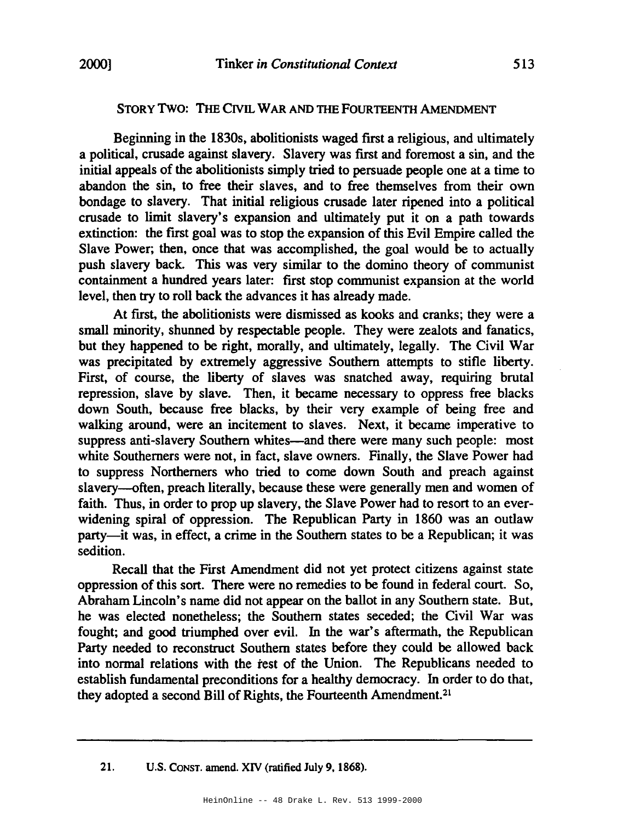## STORY Two: THE CIVIL WAR AND THE FOURTEENTH AMENDMENT

Beginning in the 1830s, abolitionists waged first a religious, and ultimately a political, crusade against slavery. Slavery was first and foremost a sin, and the initial appeals of the abolitionists simply tried to persuade people one at a time to abandon the sin, to free their slaves, and to free themselves from their own bondage to slavery. That initial religious crusade later ripened into a political crusade to limit slavery's expansion and ultimately put it on a path towards extinction: the first goal was to stop the expansion of this Evil Empire called the Slave Power; then, once that was accomplished, the goal would be to actually push slavery back. This was very similar to the domino theory of communist containment a hundred years later: first stop communist expansion at the world level, then try to roll back the advances it has already made.

At first, the abolitionists were dismissed as kooks and cranks; they were a small minority, shunned by respectable people. They were zealots and fanatics, but they happened to be right, morally, and ultimately, legally. The Civil War was precipitated by extremely aggressive Southern attempts to stifle liberty. First, of course, the liberty of slaves was snatched away, requiring brutal repression, slave by slave. Then, it became necessary to oppress free blacks down South, because free blacks, by their very example of being free and walking around, were an incitement to slaves. Next, it became imperative to suppress anti-slavery Southern whites—and there were many such people: most white Southerners were not, in fact, slave owners. Finally, the Slave Power had to suppress Northerners who tried to come down South and preach against slavery-often, preach literally, because these were generally men and women of faith. Thus, in order to prop up slavery, the Slave Power had to resort to an everwidening spiral of oppression. The Republican Party in 1860 was an outlaw party-it was, in effect, a crime in the Southern states to be a Republican; it was sedition.

Recall that the First Amendment did not yet protect citizens against state oppression of this sort. There were no remedies to be found in federal court. So, Abraham Lincoln's name did not appear on the ballot in any Southern state. But, he was elected nonetheless; the Southern states seceded; the Civil War was fought; and good triumphed over evil. In the war's aftermath, the Republican Party needed to reconstruct Southern states before they could be allowed back into normal relations with the test of the Union. The Republicans needed to establish fundamental preconditions for a healthy democracy. In order to do that, they adopted a second Bill of Rights, the Fourteenth Amendment.<sup>21</sup>

<sup>21.</sup> U.S. CONST. amend. XIV (ratified July 9.1868).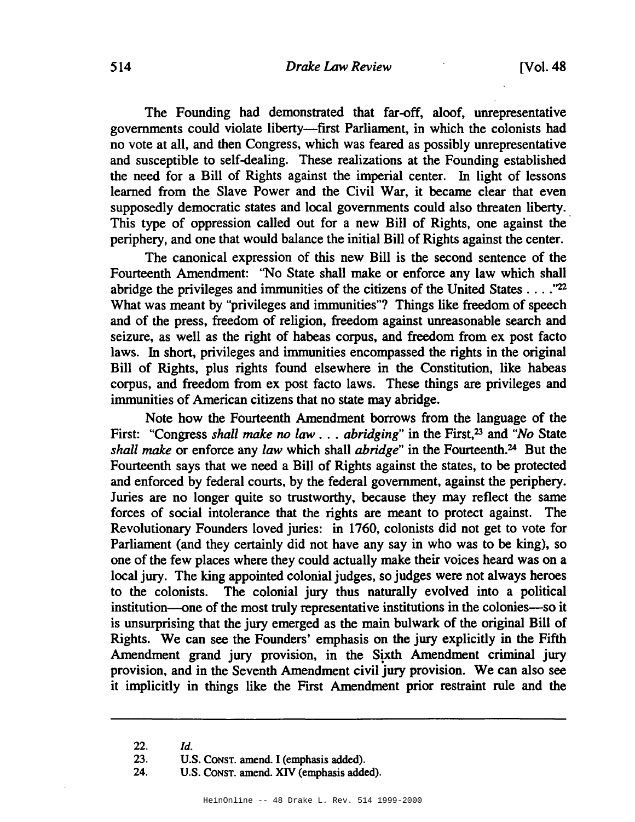#### 514 *Drake* Law *Review* [Vol. 48

The Founding had demonstrated that far-off, aloof, unrepresentative governments could violate liberty-first Parliament, in which the colonists had no vote at all, and then Congress, which was feared as possibly unrepresentative and susceptible to self-dealing. These realizations at the Founding established the need for a Bill of Rights against the imperial center. In light of lessons learned from the Slave Power and the Civil War, it became clear that even supposedly democratic states and local governments could also threaten liberty. This type of oppression called out for a new Bill of Rights, one against the periphery, and one that would balance the initial Bill of Rights against the center.

The canonical expression of this new Bill is the second sentence of the Fourteenth Amendment: ''No State shall make or enforce any law which shall abridge the privileges and immunities of the citizens of the United States ...."22 What was meant by "privileges and immunities"? Things like freedom of speech and of the press, freedom of religion, freedom against unreasonable search and seizure, as well as the right of habeas corpus, and freedom from ex post facto laws. In short, privileges and immunities encompassed the rights in the original Bill of Rights, plus rights found elsewhere in the Constitution, like habeas corpus, and freedom from ex post facto laws. These things are privileges and immunities of American citizens that no state may abridge.

Note how the Fourteenth Amendment borrows from the language of the First: "Congress *shall make no law* ... *abridging"* in the First,23 and *"No* State *shall make* or enforce any *law* which shall *abridge"* in the Fourteenth.24 But the Fourteenth says that we need a Bill of Rights against the states, to be protected and enforced by federal courts, by the federal government, against the periphery. Juries are no longer quite so trustworthy, because they may reflect the same forces of social intolerance that the rights are meant to protect against. The Revolutionary Founders loved juries: in 1760, colonists did not get to vote for Parliament (and they certainly did not have any say in who was to be king), so one of the few places where they could actually make their voices heard was on a local jury. The king appointed colonial judges, so judges were not always heroes to the colonists. The colonial jury thus naturally evolved into a political institution-one of the most truly representative institutions in the colonies-so it is unsurprising that the jury emerged as the main bulwark of the original Bill of Rights. We can see the Founders' emphasis on the jury explicitly in the Fifth Amendment grand jury provision, in the Sixth Amendment criminal jury provision, and in the Seventh Amendment civil jury provision. We can also see it implicitly in things like the First Amendment prior restraint rule and the

*<sup>22.</sup> ld.*

<sup>23.</sup> U.S. CONST. amend. I (emphasis added).

<sup>24.</sup> U.S. CONST. amend. XIV (emphasis added).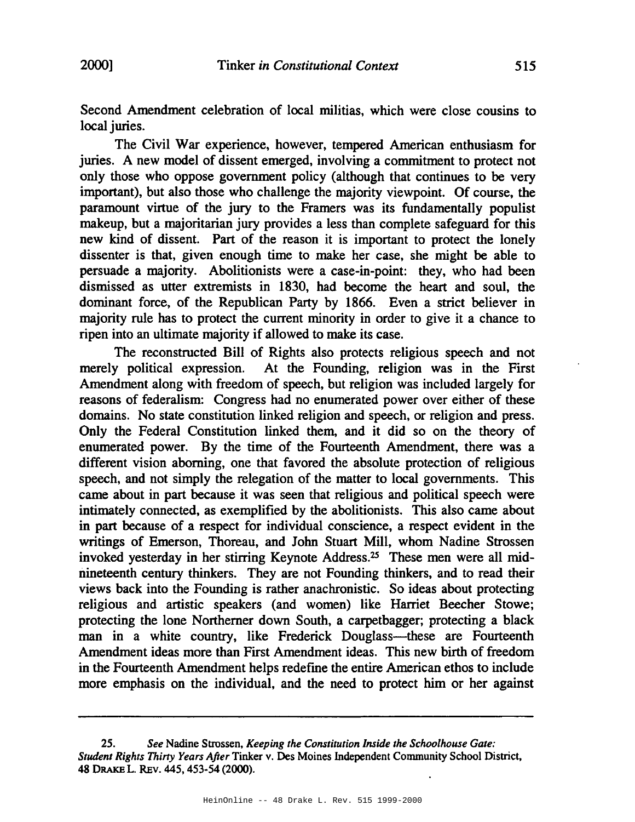Second Amendment celebration of local militias, which were close cousins to local juries.

The Civil War experience, however, tempered American enthusiasm for juries. A new model of dissent emerged, involving a commitment to protect not only those who oppose government policy (although that continues to be very important), but also those who challenge the majority viewpoint. Of course, the paramount virtue of the jury to the Framers was its fundamentally populist makeup, but a majoritarian jury provides a less than complete safeguard for this new kind of dissent. Part of the reason it is important to protect the lonely dissenter is that, given enough time to make her case, she might be able to persuade a majority. Abolitionists were a case-in-point: they, who had been dismissed as utter extremists in 1830, had become the heart and soul, the dominant force, of the Republican Party by 1866. Even a strict believer in majority rule has to protect the current minority in order to give it a chance to ripen into an ultimate majority if allowed to make its case.

The reconstructed Bill of Rights also protects religious speech and not merely political expression. At the Founding, religion was in the First Amendment along with freedom of speech, but religion was included largely for reasons of federalism: Congress had no enumerated power over either of these domains. No state constitution linked religion and speech, or religion and press. Only the Federal Constitution linked them, and it did so on the theory of enumerated power. By the time of the Fourteenth Amendment, there was a different vision aborning, one that favored the absolute protection of religious speech, and not simply the relegation of the matter to local governments. This came about in part because it was seen that religious and political speech were intimately connected, as exemplified by the abolitionists. This also came about in part because of a respect for individual conscience, a respect evident in the writings of Emerson, Thoreau, and John Stuart Mill, whom Nadine Strossen invoked yesterday in her stirring Keynote Address.25 These men were all midnineteenth century thinkers. They are not Founding thinkers, and to read their views back into the Founding is rather anachronistic. So ideas about protecting religious and artistic speakers (and women) like Harriet Beecher Stowe; protecting the lone Northerner down South, a carpetbagger; protecting a black man in a white country, like Frederick Douglass—these are Fourteenth Amendment ideas more than First Amendment ideas. This new birth of freedom in the Fourteenth Amendment helps redefme the entire American ethos to include more emphasis on the individual, and the need to protect him or her against

*<sup>25.</sup> See* Nadine Strossen, *Keeping the Constitution Inside the Schoolhouse Gate: Student Rights Thirty Years After* Tinker v. Des Moines Independent Community School District, 48 DRAKE L. REv. 445, 453-54 (2000).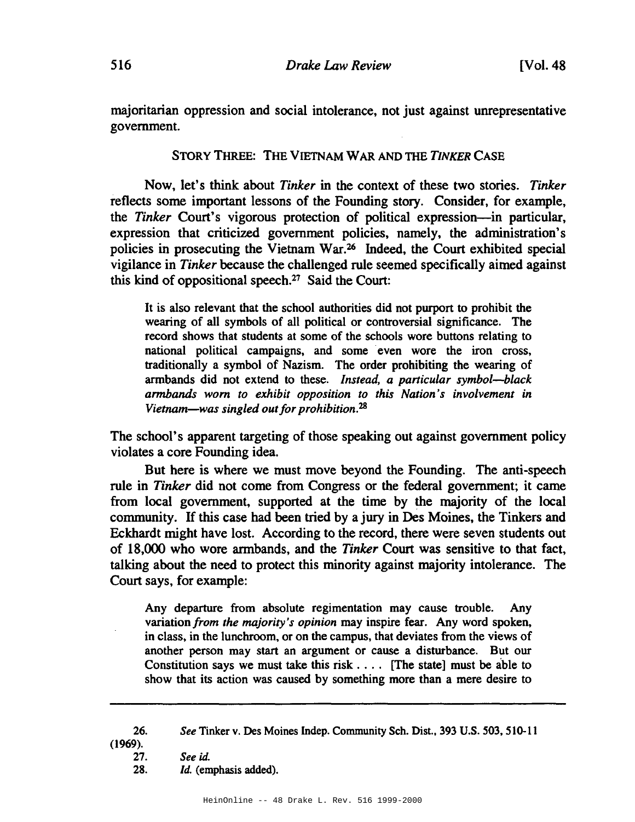majoritarian oppression and social intolerance, not just against unrepresentative government.

STORY THREE: THE VIETNAM WAR AND THE *TINKER* CASE

Now, let's think about *Tinker* in the context of these two stories. *Tinker* reflects some important lessons of the Founding story. Consider, for example, the *Tinker* Court's vigorous protection of political expression-in particular, expression that criticized government policies, namely, the administration's policies in prosecuting the Vietnam War.<sup>26</sup> Indeed, the Court exhibited special vigilance in *Tinker* because the challenged rule seemed specifically aimed against this kind of oppositional speech.27 Said the Court:

It is also relevant that the school authorities did not purport to prohibit the wearing of all symbols of all political or controversial significance. The record shows that students at some of the schools wore buttons relating to national political campaigns, and some even wore the iron cross, traditionally a symbol of Nazism. The order prohibiting the wearing of armbands did not extend to these. *Instead. a particular symbol-black armbands worn to exhibit opposition to this Nation's involvement in Vietnam—was singled out for prohibition.*<sup>28</sup>

The school's apparent targeting of those speaking out against government policy violates a core Founding idea.

But here is where we must move beyond the Founding. The anti-speech rule in *Tinker* did not come from Congress or the federal government; it came from local government, supported at the time by the majority of the local community. If this case had been tried by a jury in Des Moines, the Tinkers and Eckhardt might have lost. According to the record, there were seven students out of 18,000 who wore armbands, and the *Tinker* Court was sensitive to that fact, talking about the need to protect this minority against majority intolerance. The Court says, for example:

Any departure from absolute regimentation may cause trouble. Any variation *from the majority's opinion* may inspire fear. Any word spoken, in class, in the lunchroom, or on the campus, that deviates from the views of another person may start an argument or cause a disturbance. But our Constitution says we must take this risk  $\dots$ . [The state] must be able to show that its action was caused by something more than a mere desire to

<sup>26.</sup> *See* Tinker v. Des Moines Indep. Community Sch. Dist., 393 U.S. 503,510-11

<sup>(1969).</sup>

<sup>27.</sup> See id.

<sup>28.</sup> *Id.* (emphasis added).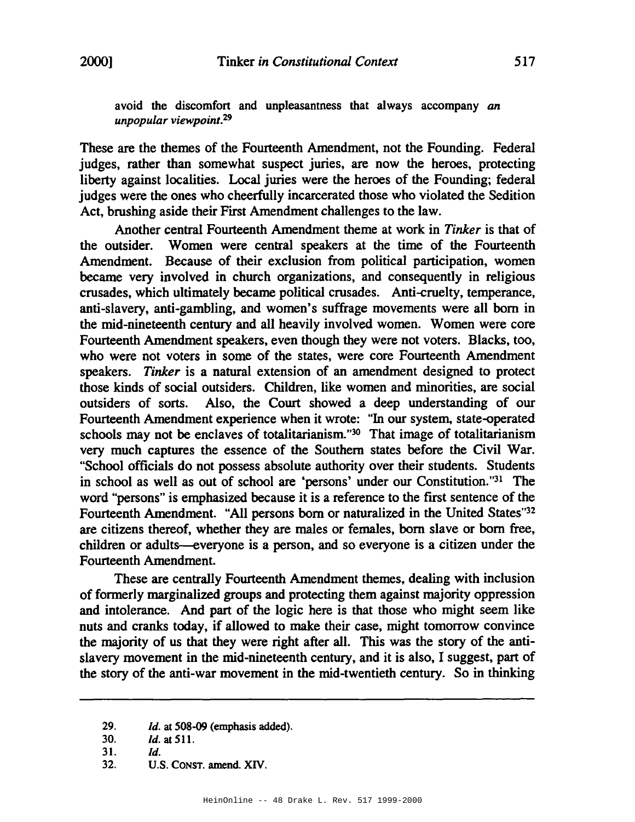avoid the discomfort and unpleasantness that always accompany *an unpopular viewpoint.<sup>29</sup>*

These are the themes of the Fourteenth Amendment, not the Founding. Federal judges, rather than somewhat suspect juries, are now the heroes, protecting liberty against localities. Local juries were the heroes of the Founding; federal judges were the ones who cheerfully incarcerated those who violated the Sedition Act, brushing aside their First Amendment challenges to the law.

Another central Fourteenth Amendment theme at work in *Tinker* is that of the outsider. Women were central speakers at the time of the Fourteenth Amendment. Because of their exclusion from political participation, women became very involved in church organizations, and consequently in religious crusades, which ultimately became political crusades. Anti-cruelty, temperance, anti-slavery, anti-gambling, and women's suffrage movements were all born in the mid-nineteenth century and all heavily involved women. Women were core Fourteenth Amendment speakers, even though they were not voters. Blacks, too, who were not voters in some of the states, were core Fourteenth Amendment speakers. *Tinker* is a natural extension of an amendment designed to protect those kinds of social outsiders. Children, like women and minorities, are social outsiders of sorts. Also, the Court showed a deep understanding of our Fourteenth Amendment experience when it wrote: "In our system, state-operated schools may not be enclaves of totalitarianism."<sup>30</sup> That image of totalitarianism very much captures the essence of the Southern states before the Civil War. "School officials do not possess absolute authority over their students. Students in school as well as out of school are 'persons' under our Constitution."31 The word "persons" is emphasized because it is a reference to the first sentence of the Fourteenth Amendment. "All persons born or naturalized in the United States"32 are citizens thereof, whether they are males or females, born slave or born free, children or adults--everyone is a person, and so everyone is a citizen under the Fourteenth Amendment.

These are centrally Fourteenth Amendment themes, dealing with inclusion of formerly marginalized groups and protecting them against majority oppression and intolerance. And part of the logic here is that those who might seem like nuts and cranks today, if allowed to make their case, might tomorrow convince the majority of us that they were right after all. This was the story of the antislavery movement in the mid-nineteenth century, and it is also, I suggest, part of the story of the anti-war movement in the mid-twentieth century. So in thinking

<sup>29.</sup> *Id.* at 508-09 (emphasis added).

<sup>30.</sup> *Id.* at 511.

 $31.$   $1d.$ 

<sup>32.</sup> U.S. CONST. amend. *XN.*